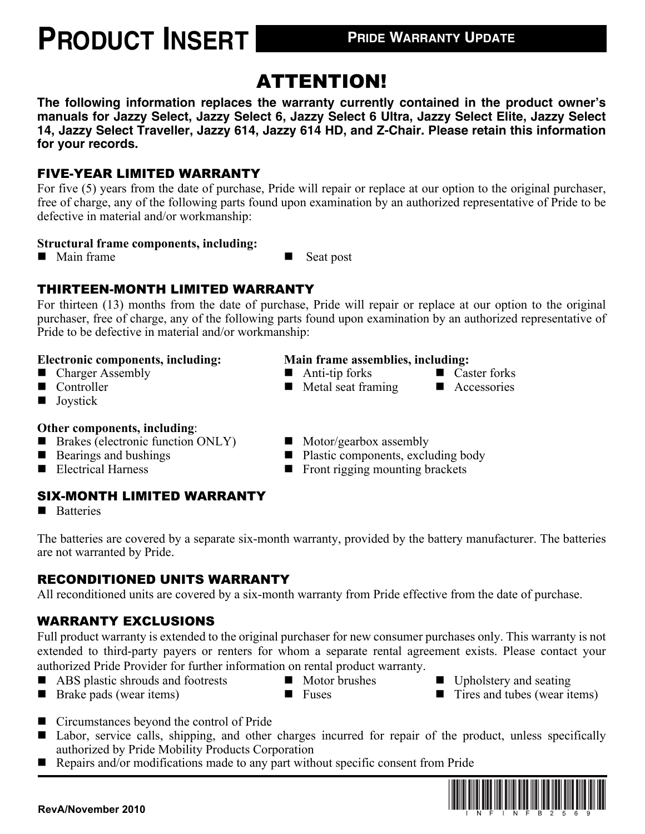## **PRODUCT INSERT PRIDE WARRANTY UPDATE**

### ATTENTION!

**The following information replaces the warranty currently contained in the product owner's manuals for Jazzy Select, Jazzy Select 6, Jazzy Select 6 Ultra, Jazzy Select Elite, Jazzy Select 14, Jazzy Select Traveller, Jazzy 614, Jazzy 614 HD, and Z-Chair. Please retain this information for your records.**

#### FIVE-YEAR LIMITED WARRANTY

For five (5) years from the date of purchase, Pride will repair or replace at our option to the original purchaser, free of charge, any of the following parts found upon examination by an authorized representative of Pride to be defective in material and/or workmanship:

#### **Structural frame components, including:**

■ Main frame ■ Seat post

#### THIRTEEN-MONTH LIMITED WARRANTY

For thirteen (13) months from the date of purchase, Pride will repair or replace at our option to the original purchaser, free of charge, any of the following parts found upon examination by an authorized representative of Pride to be defective in material and/or workmanship:

- Charger Assembly Anti-tip forks Caster forks
- 
- **Joystick**

#### **Other components, including**:

- Brakes (electronic function ONLY) Motor/gearbox assembly
- 
- 

### SIX-MONTH LIMITED WARRANTY

**Batteries** 

The batteries are covered by a separate six-month warranty, provided by the battery manufacturer. The batteries are not warranted by Pride.

### RECONDITIONED UNITS WARRANTY

All reconditioned units are covered by a six-month warranty from Pride effective from the date of purchase.

### WARRANTY EXCLUSIONS

Full product warranty is extended to the original purchaser for new consumer purchases only. This warranty is not extended to third-party payers or renters for whom a separate rental agreement exists. Please contact your authorized Pride Provider for further information on rental product warranty.

- ABS plastic shrouds and footrests  $\blacksquare$  Motor brushes  $\blacksquare$  Upholstery and seating
- 
- 
- Brake pads (wear items) Fuses Tires and tubes (wear items)
- Circumstances beyond the control of Pride
- Labor, service calls, shipping, and other charges incurred for repair of the product, unless specifically authorized by Pride Mobility Products Corporation
- Repairs and/or modifications made to any part without specific consent from Pride



- **Electronic components, including: Main frame assemblies, including:**
	-
- Controller Metal seat framing Accessories
- -
- Bearings and bushings Plastic components, excluding body<br>■ Front rigging mounting brackets
	- $\blacksquare$  Front rigging mounting brackets